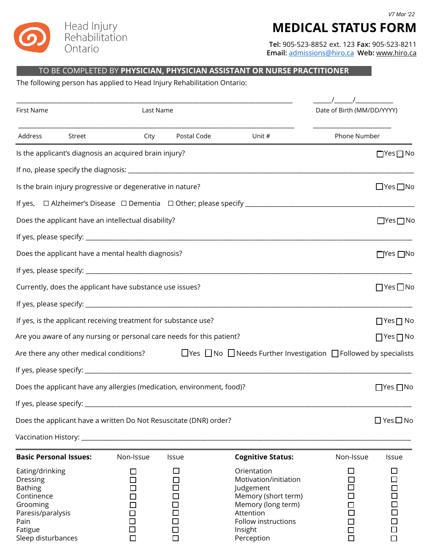

## **MEDICAL STATUS FORM**

**Tel:** 905-523-8852 ext. 123 **Fax:** 905-523-8211 **Email:** [admissions@hiro.ca](mailto:admissions@hiro.ca) **Web:** www.hiro.ca

Follow instructions ☐ ☐ Insight ☐ ☐ Perception □ □ □

## TO BE COMPLETED BY **PHYSICIAN, PHYSICIAN ASSISTANT OR NURSE PRACTITIONER**

The following person has applied to Head Injury Rehabilitation Ontario:

Pain  $\Box$ Fatigue ☐ ☐ Sleep disturbances ☐ ☐

| <b>First Name</b>                                                                                           |                                         |                                                            | Last Name                                                              |                                                                                                                                    |                                    | Date of Birth (MM/DD/YYYY)      |  |
|-------------------------------------------------------------------------------------------------------------|-----------------------------------------|------------------------------------------------------------|------------------------------------------------------------------------|------------------------------------------------------------------------------------------------------------------------------------|------------------------------------|---------------------------------|--|
| Address                                                                                                     | Street                                  | City                                                       | Postal Code                                                            | Unit #                                                                                                                             |                                    | Phone Number                    |  |
|                                                                                                             |                                         | Is the applicant's diagnosis an acquired brain injury?     |                                                                        |                                                                                                                                    |                                    | $\Box$ Yes $\Box$ No            |  |
|                                                                                                             |                                         |                                                            |                                                                        |                                                                                                                                    |                                    |                                 |  |
|                                                                                                             |                                         | Is the brain injury progressive or degenerative in nature? |                                                                        |                                                                                                                                    |                                    | $\Box$ Yes $\Box$ No            |  |
|                                                                                                             |                                         |                                                            |                                                                        |                                                                                                                                    |                                    |                                 |  |
| Does the applicant have an intellectual disability?                                                         |                                         |                                                            |                                                                        |                                                                                                                                    |                                    |                                 |  |
|                                                                                                             |                                         |                                                            |                                                                        |                                                                                                                                    |                                    |                                 |  |
| Does the applicant have a mental health diagnosis?                                                          |                                         |                                                            |                                                                        |                                                                                                                                    |                                    |                                 |  |
|                                                                                                             |                                         |                                                            |                                                                        |                                                                                                                                    |                                    |                                 |  |
| Currently, does the applicant have substance use issues?                                                    |                                         |                                                            |                                                                        |                                                                                                                                    |                                    |                                 |  |
|                                                                                                             |                                         |                                                            |                                                                        |                                                                                                                                    |                                    |                                 |  |
| If yes, is the applicant receiving treatment for substance use?                                             |                                         |                                                            |                                                                        |                                                                                                                                    |                                    |                                 |  |
| Are you aware of any nursing or personal care needs for this patient?                                       |                                         |                                                            |                                                                        |                                                                                                                                    |                                    |                                 |  |
|                                                                                                             | Are there any other medical conditions? |                                                            |                                                                        | $\Box$ Yes $\Box$ No $\Box$ Needs Further Investigation $\Box$ Followed by specialists                                             |                                    |                                 |  |
|                                                                                                             |                                         |                                                            |                                                                        |                                                                                                                                    |                                    |                                 |  |
|                                                                                                             |                                         |                                                            | Does the applicant have any allergies (medication, environment, food)? |                                                                                                                                    |                                    | $\Box$ Yes $\Box$ No            |  |
| If yes, please specify:                                                                                     |                                         |                                                            |                                                                        |                                                                                                                                    |                                    |                                 |  |
|                                                                                                             |                                         |                                                            | Does the applicant have a written Do Not Resuscitate (DNR) order?      |                                                                                                                                    |                                    | $\Box$ Yes $\Box$ No            |  |
|                                                                                                             |                                         |                                                            |                                                                        |                                                                                                                                    |                                    |                                 |  |
|                                                                                                             | <b>Basic Personal Issues:</b>           | Non-Issue                                                  | Issue                                                                  | <b>Cognitive Status:</b>                                                                                                           | Non-Issue                          | Issue                           |  |
| Eating/drinking<br><b>Dressing</b><br><b>Bathing</b><br>Continence<br>Grooming<br>Paresis/paralysis<br>Pain |                                         |                                                            | i,<br>П<br>П                                                           | Orientation<br>Motivation/initiation<br>Judgement<br>Memory (short term)<br>Memory (long term)<br>Attention<br>Follow instructions | $\overline{\phantom{a}}$<br>□<br>П | ⊔<br>$\Box$<br>$\Box$<br>$\Box$ |  |